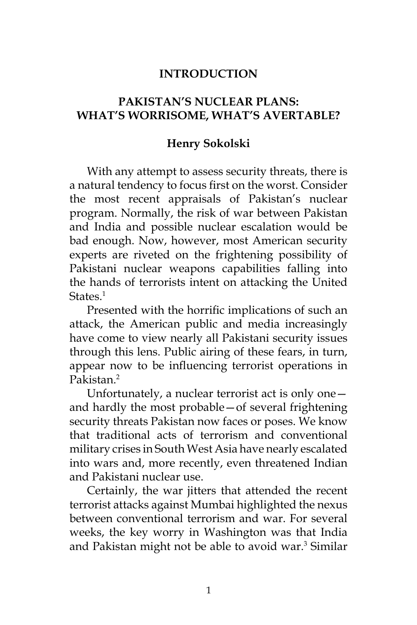## **INTRODUCTION**

## **PAKISTAN'S NUCLEAR PLANS: WHAT'S WORRISOME, WHAT'S AVERTABLE?**

## **Henry Sokolski**

With any attempt to assess security threats, there is a natural tendency to focus first on the worst. Consider the most recent appraisals of Pakistan's nuclear program. Normally, the risk of war between Pakistan and India and possible nuclear escalation would be bad enough. Now, however, most American security experts are riveted on the frightening possibility of Pakistani nuclear weapons capabilities falling into the hands of terrorists intent on attacking the United States.<sup>1</sup>

Presented with the horrific implications of such an attack, the American public and media increasingly have come to view nearly all Pakistani security issues through this lens. Public airing of these fears, in turn, appear now to be influencing terrorist operations in Pakistan.2

Unfortunately, a nuclear terrorist act is only one and hardly the most probable—of several frightening security threats Pakistan now faces or poses. We know that traditional acts of terrorism and conventional military crises in South West Asia have nearly escalated into wars and, more recently, even threatened Indian and Pakistani nuclear use.

Certainly, the war jitters that attended the recent terrorist attacks against Mumbai highlighted the nexus between conventional terrorism and war. For several weeks, the key worry in Washington was that India and Pakistan might not be able to avoid war.<sup>3</sup> Similar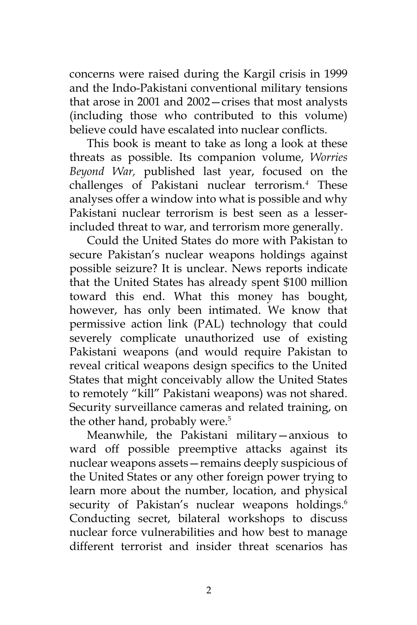concerns were raised during the Kargil crisis in 1999 and the Indo-Pakistani conventional military tensions that arose in 2001 and 2002—crises that most analysts (including those who contributed to this volume) believe could have escalated into nuclear conflicts.

This book is meant to take as long a look at these threats as possible. Its companion volume, *Worries Beyond War,* published last year, focused on the challenges of Pakistani nuclear terrorism*. 4* These analyses offer a window into what is possible and why Pakistani nuclear terrorism is best seen as a lesserincluded threat to war, and terrorism more generally.

Could the United States do more with Pakistan to secure Pakistan's nuclear weapons holdings against possible seizure? It is unclear. News reports indicate that the United States has already spent \$100 million toward this end. What this money has bought, however, has only been intimated. We know that permissive action link (PAL) technology that could severely complicate unauthorized use of existing Pakistani weapons (and would require Pakistan to reveal critical weapons design specifics to the United States that might conceivably allow the United States to remotely "kill" Pakistani weapons) was not shared. Security surveillance cameras and related training, on the other hand, probably were.<sup>5</sup>

Meanwhile, the Pakistani military—anxious to ward off possible preemptive attacks against its nuclear weapons assets—remains deeply suspicious of the United States or any other foreign power trying to learn more about the number, location, and physical security of Pakistan's nuclear weapons holdings.<sup>6</sup> Conducting secret, bilateral workshops to discuss nuclear force vulnerabilities and how best to manage different terrorist and insider threat scenarios has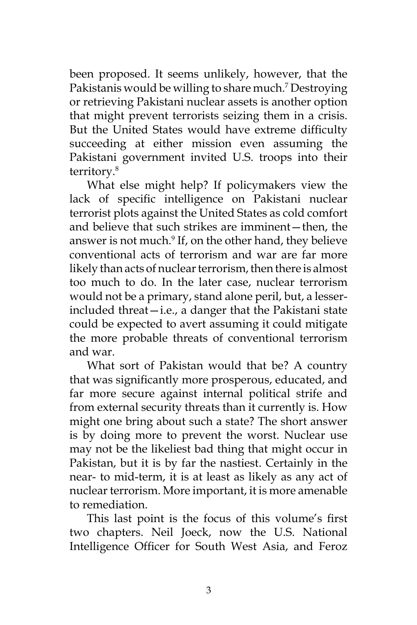been proposed. It seems unlikely, however, that the Pakistanis would be willing to share much.<sup>7</sup> Destroying or retrieving Pakistani nuclear assets is another option that might prevent terrorists seizing them in a crisis. But the United States would have extreme difficulty succeeding at either mission even assuming the Pakistani government invited U.S. troops into their territory.8

What else might help? If policymakers view the lack of specific intelligence on Pakistani nuclear terrorist plots against the United States as cold comfort and believe that such strikes are imminent—then, the answer is not much.<sup>9</sup> If, on the other hand, they believe conventional acts of terrorism and war are far more likely than acts of nuclear terrorism, then there is almost too much to do. In the later case, nuclear terrorism would not be a primary, stand alone peril, but, a lesserincluded threat—i.e., a danger that the Pakistani state could be expected to avert assuming it could mitigate the more probable threats of conventional terrorism and war.

What sort of Pakistan would that be? A country that was significantly more prosperous, educated, and far more secure against internal political strife and from external security threats than it currently is. How might one bring about such a state? The short answer is by doing more to prevent the worst. Nuclear use may not be the likeliest bad thing that might occur in Pakistan, but it is by far the nastiest. Certainly in the near- to mid-term, it is at least as likely as any act of nuclear terrorism. More important, it is more amenable to remediation.

This last point is the focus of this volume's first two chapters. Neil Joeck, now the U.S. National Intelligence Officer for South West Asia, and Feroz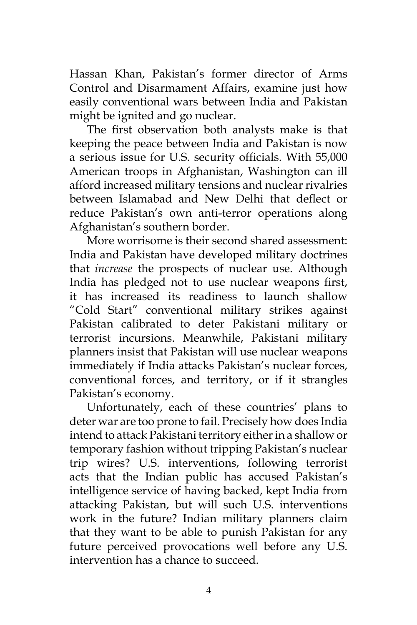Hassan Khan, Pakistan's former director of Arms Control and Disarmament Affairs, examine just how easily conventional wars between India and Pakistan might be ignited and go nuclear.

The first observation both analysts make is that keeping the peace between India and Pakistan is now a serious issue for U.S. security officials. With 55,000 American troops in Afghanistan, Washington can ill afford increased military tensions and nuclear rivalries between Islamabad and New Delhi that deflect or reduce Pakistan's own anti-terror operations along Afghanistan's southern border.

More worrisome is their second shared assessment: India and Pakistan have developed military doctrines that *increase* the prospects of nuclear use. Although India has pledged not to use nuclear weapons first, it has increased its readiness to launch shallow "Cold Start" conventional military strikes against Pakistan calibrated to deter Pakistani military or terrorist incursions. Meanwhile, Pakistani military planners insist that Pakistan will use nuclear weapons immediately if India attacks Pakistan's nuclear forces, conventional forces, and territory, or if it strangles Pakistan's economy.

Unfortunately, each of these countries' plans to deter war are too prone to fail. Precisely how does India intend to attack Pakistani territory either in a shallow or temporary fashion without tripping Pakistan's nuclear trip wires? U.S. interventions, following terrorist acts that the Indian public has accused Pakistan's intelligence service of having backed, kept India from attacking Pakistan, but will such U.S. interventions work in the future? Indian military planners claim that they want to be able to punish Pakistan for any future perceived provocations well before any U.S. intervention has a chance to succeed.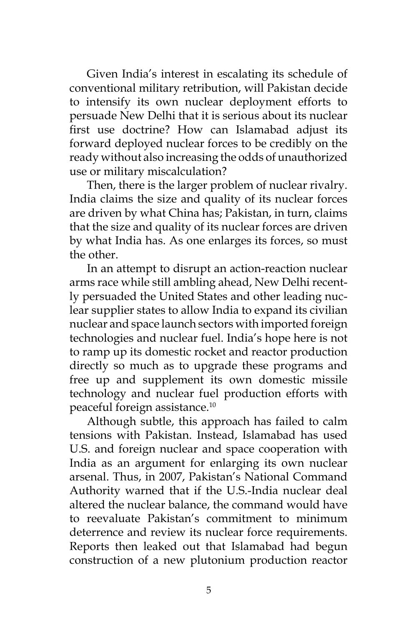Given India's interest in escalating its schedule of conventional military retribution, will Pakistan decide to intensify its own nuclear deployment efforts to persuade New Delhi that it is serious about its nuclear first use doctrine? How can Islamabad adjust its forward deployed nuclear forces to be credibly on the ready without also increasing the odds of unauthorized use or military miscalculation?

Then, there is the larger problem of nuclear rivalry. India claims the size and quality of its nuclear forces are driven by what China has; Pakistan, in turn, claims that the size and quality of its nuclear forces are driven by what India has. As one enlarges its forces, so must the other.

In an attempt to disrupt an action-reaction nuclear arms race while still ambling ahead, New Delhi recently persuaded the United States and other leading nuclear supplier states to allow India to expand its civilian nuclear and space launch sectors with imported foreign technologies and nuclear fuel. India's hope here is not to ramp up its domestic rocket and reactor production directly so much as to upgrade these programs and free up and supplement its own domestic missile technology and nuclear fuel production efforts with peaceful foreign assistance.10

Although subtle, this approach has failed to calm tensions with Pakistan. Instead, Islamabad has used U.S. and foreign nuclear and space cooperation with India as an argument for enlarging its own nuclear arsenal. Thus, in 2007, Pakistan's National Command Authority warned that if the U.S.-India nuclear deal altered the nuclear balance, the command would have to reevaluate Pakistan's commitment to minimum deterrence and review its nuclear force requirements. Reports then leaked out that Islamabad had begun construction of a new plutonium production reactor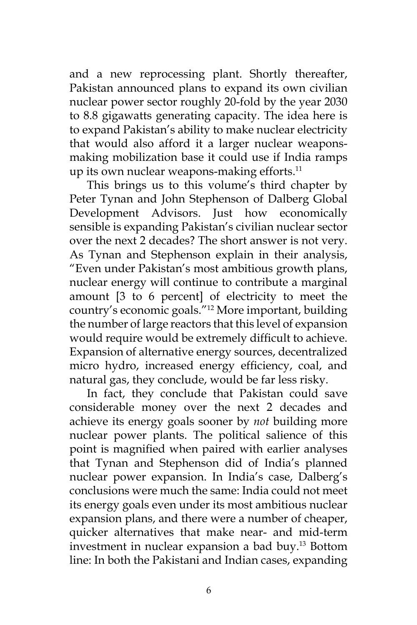and a new reprocessing plant. Shortly thereafter, Pakistan announced plans to expand its own civilian nuclear power sector roughly 20-fold by the year 2030 to 8.8 gigawatts generating capacity. The idea here is to expand Pakistan's ability to make nuclear electricity that would also afford it a larger nuclear weaponsmaking mobilization base it could use if India ramps up its own nuclear weapons-making efforts. $11$ 

This brings us to this volume's third chapter by Peter Tynan and John Stephenson of Dalberg Global Development Advisors. Just how economically sensible is expanding Pakistan's civilian nuclear sector over the next 2 decades? The short answer is not very. As Tynan and Stephenson explain in their analysis, "Even under Pakistan's most ambitious growth plans, nuclear energy will continue to contribute a marginal amount [3 to 6 percent] of electricity to meet the country's economic goals."12 More important, building the number of large reactors that this level of expansion would require would be extremely difficult to achieve. Expansion of alternative energy sources, decentralized micro hydro, increased energy efficiency, coal, and natural gas, they conclude, would be far less risky.

In fact, they conclude that Pakistan could save considerable money over the next 2 decades and achieve its energy goals sooner by *not* building more nuclear power plants. The political salience of this point is magnified when paired with earlier analyses that Tynan and Stephenson did of India's planned nuclear power expansion. In India's case, Dalberg's conclusions were much the same: India could not meet its energy goals even under its most ambitious nuclear expansion plans, and there were a number of cheaper, quicker alternatives that make near- and mid-term investment in nuclear expansion a bad buy.13 Bottom line: In both the Pakistani and Indian cases, expanding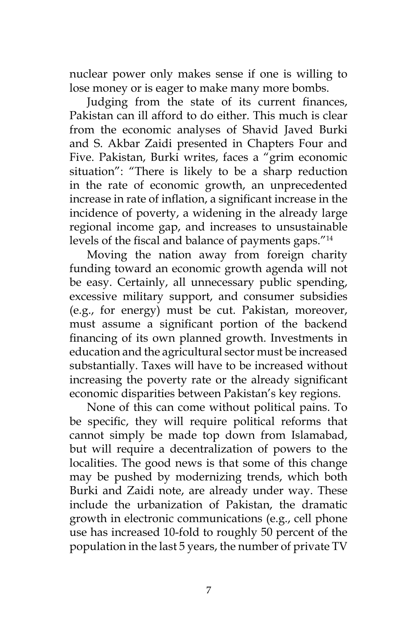nuclear power only makes sense if one is willing to lose money or is eager to make many more bombs.

Judging from the state of its current finances, Pakistan can ill afford to do either. This much is clear from the economic analyses of Shavid Javed Burki and S. Akbar Zaidi presented in Chapters Four and Five. Pakistan, Burki writes, faces a "grim economic situation": "There is likely to be a sharp reduction in the rate of economic growth, an unprecedented increase in rate of inflation, a significant increase in the incidence of poverty, a widening in the already large regional income gap, and increases to unsustainable levels of the fiscal and balance of payments gaps."14

Moving the nation away from foreign charity funding toward an economic growth agenda will not be easy. Certainly, all unnecessary public spending, excessive military support, and consumer subsidies (e.g., for energy) must be cut. Pakistan, moreover, must assume a significant portion of the backend financing of its own planned growth. Investments in education and the agricultural sector must be increased substantially. Taxes will have to be increased without increasing the poverty rate or the already significant economic disparities between Pakistan's key regions.

None of this can come without political pains. To be specific, they will require political reforms that cannot simply be made top down from Islamabad, but will require a decentralization of powers to the localities. The good news is that some of this change may be pushed by modernizing trends, which both Burki and Zaidi note, are already under way. These include the urbanization of Pakistan, the dramatic growth in electronic communications (e.g., cell phone use has increased 10-fold to roughly 50 percent of the population in the last 5 years, the number of private TV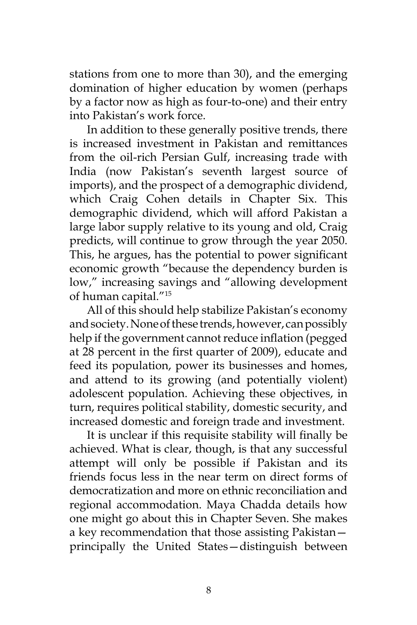stations from one to more than 30), and the emerging domination of higher education by women (perhaps by a factor now as high as four-to-one) and their entry into Pakistan's work force.

In addition to these generally positive trends, there is increased investment in Pakistan and remittances from the oil-rich Persian Gulf, increasing trade with India (now Pakistan's seventh largest source of imports), and the prospect of a demographic dividend, which Craig Cohen details in Chapter Six. This demographic dividend, which will afford Pakistan a large labor supply relative to its young and old, Craig predicts, will continue to grow through the year 2050. This, he argues, has the potential to power significant economic growth "because the dependency burden is low," increasing savings and "allowing development of human capital."15

All of this should help stabilize Pakistan's economy and society. None of these trends, however, can possibly help if the government cannot reduce inflation (pegged at 28 percent in the first quarter of 2009), educate and feed its population, power its businesses and homes, and attend to its growing (and potentially violent) adolescent population. Achieving these objectives, in turn, requires political stability, domestic security, and increased domestic and foreign trade and investment.

It is unclear if this requisite stability will finally be achieved. What is clear, though, is that any successful attempt will only be possible if Pakistan and its friends focus less in the near term on direct forms of democratization and more on ethnic reconciliation and regional accommodation. Maya Chadda details how one might go about this in Chapter Seven. She makes a key recommendation that those assisting Pakistan principally the United States—distinguish between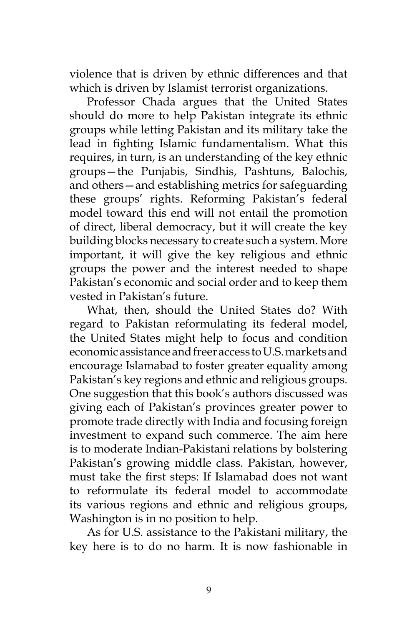violence that is driven by ethnic differences and that which is driven by Islamist terrorist organizations.

Professor Chada argues that the United States should do more to help Pakistan integrate its ethnic groups while letting Pakistan and its military take the lead in fighting Islamic fundamentalism. What this requires, in turn, is an understanding of the key ethnic groups—the Punjabis, Sindhis, Pashtuns, Balochis, and others—and establishing metrics for safeguarding these groups' rights. Reforming Pakistan's federal model toward this end will not entail the promotion of direct, liberal democracy, but it will create the key building blocks necessary to create such a system. More important, it will give the key religious and ethnic groups the power and the interest needed to shape Pakistan's economic and social order and to keep them vested in Pakistan's future.

What, then, should the United States do? With regard to Pakistan reformulating its federal model, the United States might help to focus and condition economic assistance and freer access to U.S. markets and encourage Islamabad to foster greater equality among Pakistan's key regions and ethnic and religious groups. One suggestion that this book's authors discussed was giving each of Pakistan's provinces greater power to promote trade directly with India and focusing foreign investment to expand such commerce. The aim here is to moderate Indian-Pakistani relations by bolstering Pakistan's growing middle class. Pakistan, however, must take the first steps: If Islamabad does not want to reformulate its federal model to accommodate its various regions and ethnic and religious groups, Washington is in no position to help.

As for U.S. assistance to the Pakistani military, the key here is to do no harm. It is now fashionable in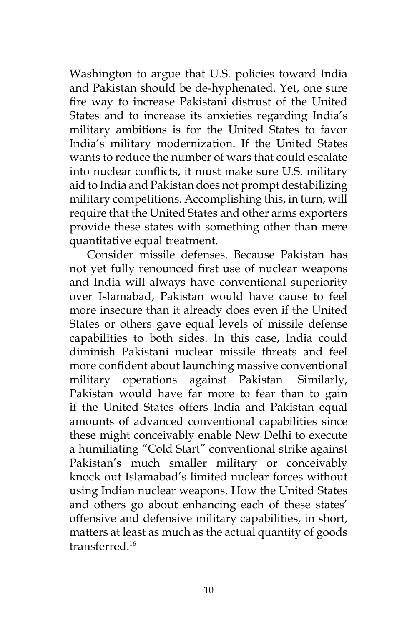Washington to argue that U.S. policies toward India and Pakistan should be de-hyphenated. Yet, one sure fire way to increase Pakistani distrust of the United States and to increase its anxieties regarding India's military ambitions is for the United States to favor India's military modernization. If the United States wants to reduce the number of wars that could escalate into nuclear conflicts, it must make sure U.S. military aid to India and Pakistan does not prompt destabilizing military competitions. Accomplishing this, in turn, will require that the United States and other arms exporters provide these states with something other than mere quantitative equal treatment.

Consider missile defenses. Because Pakistan has not yet fully renounced first use of nuclear weapons and India will always have conventional superiority over Islamabad, Pakistan would have cause to feel more insecure than it already does even if the United States or others gave equal levels of missile defense capabilities to both sides. In this case, India could diminish Pakistani nuclear missile threats and feel more confident about launching massive conventional military operations against Pakistan. Similarly, Pakistan would have far more to fear than to gain if the United States offers India and Pakistan equal amounts of advanced conventional capabilities since these might conceivably enable New Delhi to execute a humiliating "Cold Start" conventional strike against Pakistan's much smaller military or conceivably knock out Islamabad's limited nuclear forces without using Indian nuclear weapons. How the United States and others go about enhancing each of these states' offensive and defensive military capabilities, in short, matters at least as much as the actual quantity of goods transferred.16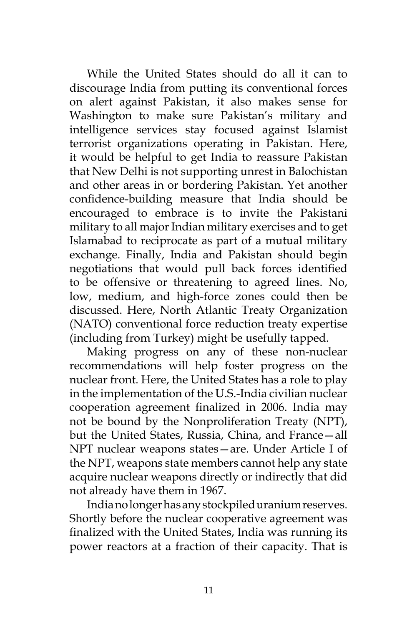While the United States should do all it can to discourage India from putting its conventional forces on alert against Pakistan, it also makes sense for Washington to make sure Pakistan's military and intelligence services stay focused against Islamist terrorist organizations operating in Pakistan. Here, it would be helpful to get India to reassure Pakistan that New Delhi is not supporting unrest in Balochistan and other areas in or bordering Pakistan. Yet another confidence-building measure that India should be encouraged to embrace is to invite the Pakistani military to all major Indian military exercises and to get Islamabad to reciprocate as part of a mutual military exchange. Finally, India and Pakistan should begin negotiations that would pull back forces identified to be offensive or threatening to agreed lines. No, low, medium, and high-force zones could then be discussed. Here, North Atlantic Treaty Organization (NATO) conventional force reduction treaty expertise (including from Turkey) might be usefully tapped.

Making progress on any of these non-nuclear recommendations will help foster progress on the nuclear front. Here, the United States has a role to play in the implementation of the U.S.-India civilian nuclear cooperation agreement finalized in 2006. India may not be bound by the Nonproliferation Treaty (NPT), but the United States, Russia, China, and France—all NPT nuclear weapons states—are. Under Article I of the NPT, weapons state members cannot help any state acquire nuclear weapons directly or indirectly that did not already have them in 1967.

India no longer has any stockpiled uranium reserves. Shortly before the nuclear cooperative agreement was finalized with the United States, India was running its power reactors at a fraction of their capacity. That is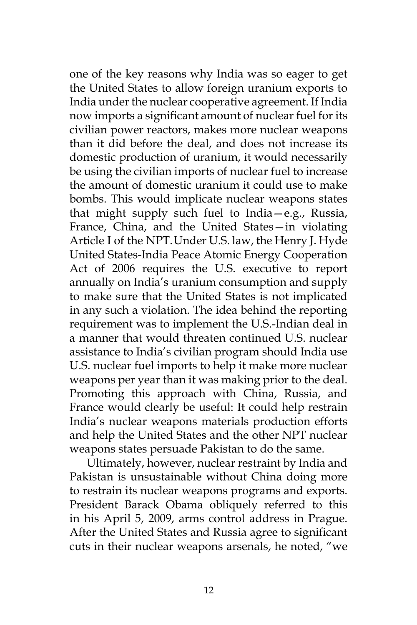one of the key reasons why India was so eager to get the United States to allow foreign uranium exports to India under the nuclear cooperative agreement. If India now imports a significant amount of nuclear fuel for its civilian power reactors, makes more nuclear weapons than it did before the deal, and does not increase its domestic production of uranium, it would necessarily be using the civilian imports of nuclear fuel to increase the amount of domestic uranium it could use to make bombs. This would implicate nuclear weapons states that might supply such fuel to India—e.g., Russia, France, China, and the United States—in violating Article I of the NPT.Under U.S. law, the Henry J. Hyde United States-India Peace Atomic Energy Cooperation Act of 2006 requires the U.S. executive to report annually on India's uranium consumption and supply to make sure that the United States is not implicated in any such a violation. The idea behind the reporting requirement was to implement the U.S.-Indian deal in a manner that would threaten continued U.S. nuclear assistance to India's civilian program should India use U.S. nuclear fuel imports to help it make more nuclear weapons per year than it was making prior to the deal. Promoting this approach with China, Russia, and France would clearly be useful: It could help restrain India's nuclear weapons materials production efforts and help the United States and the other NPT nuclear weapons states persuade Pakistan to do the same.

Ultimately, however, nuclear restraint by India and Pakistan is unsustainable without China doing more to restrain its nuclear weapons programs and exports. President Barack Obama obliquely referred to this in his April 5, 2009, arms control address in Prague. After the United States and Russia agree to significant cuts in their nuclear weapons arsenals, he noted, "we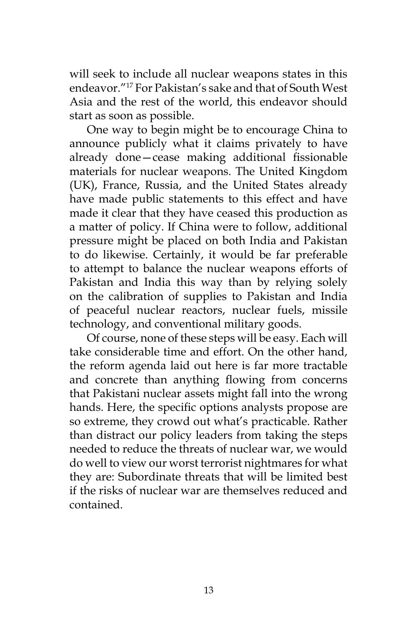will seek to include all nuclear weapons states in this endeavor."17 For Pakistan's sake and that of South West Asia and the rest of the world, this endeavor should start as soon as possible.

One way to begin might be to encourage China to announce publicly what it claims privately to have already done—cease making additional fissionable materials for nuclear weapons. The United Kingdom (UK), France, Russia, and the United States already have made public statements to this effect and have made it clear that they have ceased this production as a matter of policy. If China were to follow, additional pressure might be placed on both India and Pakistan to do likewise. Certainly, it would be far preferable to attempt to balance the nuclear weapons efforts of Pakistan and India this way than by relying solely on the calibration of supplies to Pakistan and India of peaceful nuclear reactors, nuclear fuels, missile technology, and conventional military goods.

Of course, none of these steps will be easy. Each will take considerable time and effort. On the other hand, the reform agenda laid out here is far more tractable and concrete than anything flowing from concerns that Pakistani nuclear assets might fall into the wrong hands. Here, the specific options analysts propose are so extreme, they crowd out what's practicable. Rather than distract our policy leaders from taking the steps needed to reduce the threats of nuclear war, we would do well to view our worst terrorist nightmares for what they are: Subordinate threats that will be limited best if the risks of nuclear war are themselves reduced and contained.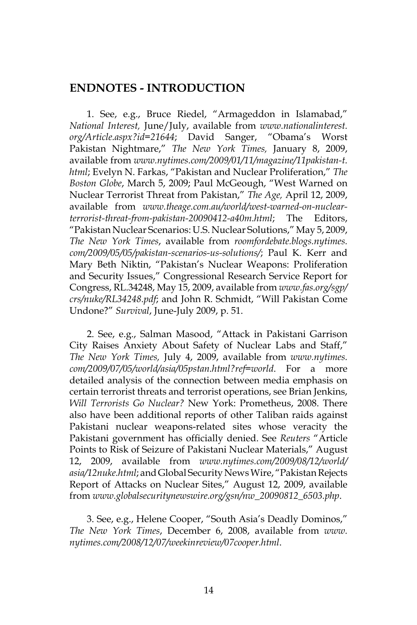## **ENDNOTES - INTRODUCTION**

1. See, e.g., Bruce Riedel, "Armageddon in Islamabad," *National Interest,* June/July, available from *www.nationalinterest. org/Article.aspx?id=21644*; David Sanger, "Obama's Worst Pakistan Nightmare," *The New York Times,* January 8, 2009, available from *www.nytimes.com/2009/01/11/magazine/11pakistan-t. html*; Evelyn N. Farkas, "Pakistan and Nuclear Proliferation," *The Boston Globe*, March 5, 2009; Paul McGeough, "West Warned on Nuclear Terrorist Threat from Pakistan," *The Age,* April 12, 2009, available from *www.theage.com.au/world/west-warned-on-nuclearterrorist-threat-from-pakistan-20090412-a40m.html*; The Editors, "Pakistan Nuclear Scenarios: U.S. Nuclear Solutions," May 5, 2009, *The New York Times*, available from *roomfordebate.blogs.nytimes. com/2009/05/05/pakistan-scenarios-us-solutions/*; Paul K. Kerr and Mary Beth Niktin, "Pakistan's Nuclear Weapons: Proliferation and Security Issues," Congressional Research Service Report for Congress, RL.34248, May 15, 2009, available from *www.fas.org/sgp/ crs/nuke/RL34248.pdf*; and John R. Schmidt, "Will Pakistan Come Undone?" *Survival*, June-July 2009, p. 51.

2. See, e.g., Salman Masood, "Attack in Pakistani Garrison City Raises Anxiety About Safety of Nuclear Labs and Staff," *The New York Times,* July 4, 2009, available from *www.nytimes. com/2009/07/05/world/asia/05pstan.html?ref=world*. For a more detailed analysis of the connection between media emphasis on certain terrorist threats and terrorist operations, see Brian Jenkins, *Will Terrorists Go Nuclear?* New York: Prometheus, 2008. There also have been additional reports of other Taliban raids against Pakistani nuclear weapons-related sites whose veracity the Pakistani government has officially denied. See *Reuters* "Article Points to Risk of Seizure of Pakistani Nuclear Materials," August 12, 2009, available from *www.nytimes.com/2009/08/12/world/ asia/12nuke.html*; and Global Security News Wire, "Pakistan Rejects Report of Attacks on Nuclear Sites," August 12, 2009, available from *www.globalsecuritynewswire.org/gsn/nw\_20090812\_6503.php*.

3. See, e.g., Helene Cooper, "South Asia's Deadly Dominos," *The New York Times*, December 6, 2008, available from *www. nytimes.com/2008/12/07/weekinreview/07cooper.html*.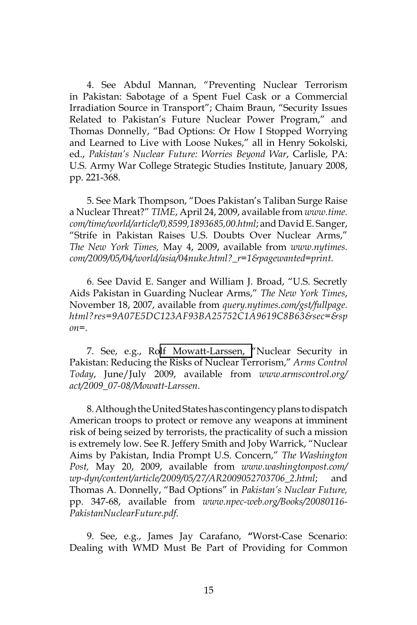4. See Abdul Mannan, "Preventing Nuclear Terrorism in Pakistan: Sabotage of a Spent Fuel Cask or a Commercial Irradiation Source in Transport"; Chaim Braun, "Security Issues Related to Pakistan's Future Nuclear Power Program," and Thomas Donnelly, "Bad Options: Or How I Stopped Worrying and Learned to Live with Loose Nukes," all in Henry Sokolski, ed., *Pakistan's Nuclear Future: Worries Beyond War*, Carlisle, PA: U.S. Army War College Strategic Studies Institute, January 2008, pp. 221-368.

5. See Mark Thompson, "Does Pakistan's Taliban Surge Raise a Nuclear Threat?" *TIME*, April 24, 2009, available from *www.time. com/time/world/article/0,8599,1893685,00.html*; and David E. Sanger, "Strife in Pakistan Raises U.S. Doubts Over Nuclear Arms," *The New York Times,* May 4, 2009, available from *www.nytimes. com/2009/05/04/world/asia/04nuke.html?\_r=1&pagewanted=print*.

6. See David E. Sanger and William J. Broad, "U.S. Secretly Aids Pakistan in Guarding Nuclear Arms," *The New York Times*, November 18, 2007, available from *query.nytimes.com/gst/fullpage. html?res=9A07E5DC123AF93BA25752C1A9619C8B63&sec=&sp on=*.

7. See, e.g., Ro[lf Mowatt-Larssen, "](http://www.armscontrol.org/act/2009_07-08/Mowatt-Larssen#bio#bio)Nuclear Security in Pakistan: Reducing the Risks of Nuclear Terrorism," *Arms Control Today*, June/July 2009, available from *www.armscontrol.org/ act/2009\_07-08/Mowatt-Larssen*.

8. Although the United States has contingency plans to dispatch American troops to protect or remove any weapons at imminent risk of being seized by terrorists, the practicality of such a mission is extremely low. See R. Jeffery Smith and Joby Warrick, "Nuclear Aims by Pakistan, India Prompt U.S. Concern," *The Washington Post,* May 20, 2009, available from *www.washingtonpost.com/ wp-dyn/content/article/2009/05/27/AR2009052703706\_2.html*; and Thomas A. Donnelly, "Bad Options" in *Pakistan's Nuclear Future,*  pp. 347-68, available from *www.npec-web.org/Books/20080116- PakistanNuclearFuture.pdf*.

9. See, e.g., James Jay Carafano, **"**Worst-Case Scenario: Dealing with WMD Must Be Part of Providing for Common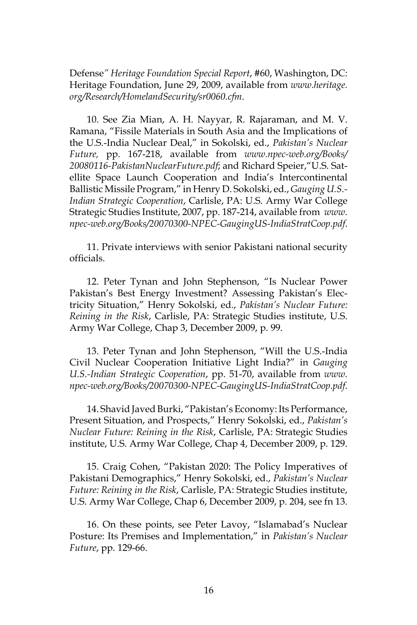Defense*" Heritage Foundation Special Report*, #60, Washington, DC: Heritage Foundation, June 29, 2009, available from *www.heritage. org/Research/HomelandSecurity/sr0060.cfm*.

10. See Zia Mian, A. H. Nayyar, R. Rajaraman, and M. V. Ramana, "Fissile Materials in South Asia and the Implications of the U.S.-India Nuclear Deal," in Sokolski, ed., *Pakistan's Nuclear Future,* pp. 167-218, available from *www.npec-web.org/Books/ 20080116-PakistanNuclearFuture.pdf*; and Richard Speier,"U.S. Satellite Space Launch Cooperation and India's Intercontinental Ballistic Missile Program," in Henry D. Sokolski, ed., *Gauging U.S.- Indian Strategic Cooperation*, Carlisle, PA: U.S. Army War College Strategic Studies Institute, 2007, pp. 187-214, available from *www. npec-web.org/Books/20070300-NPEC-GaugingUS-IndiaStratCoop.pdf*.

11. Private interviews with senior Pakistani national security officials.

12. Peter Tynan and John Stephenson, "Is Nuclear Power Pakistan's Best Energy Investment? Assessing Pakistan's Electricity Situation," Henry Sokolski, ed., *Pakistan's Nuclear Future: Reining in the Risk*, Carlisle, PA: Strategic Studies institute, U.S. Army War College, Chap 3, December 2009, p. 99.

13. Peter Tynan and John Stephenson, "Will the U.S.-India Civil Nuclear Cooperation Initiative Light India?" in *Gauging U.S.-Indian Strategic Cooperation*, pp. 51-70, available from *www. npec-web.org/Books/20070300-NPEC-GaugingUS-IndiaStratCoop.pdf*.

14. Shavid Javed Burki, "Pakistan's Economy: Its Performance, Present Situation, and Prospects," Henry Sokolski, ed., *Pakistan's Nuclear Future: Reining in the Risk*, Carlisle, PA: Strategic Studies institute, U.S. Army War College, Chap 4, December 2009, p. 129.

15. Craig Cohen, "Pakistan 2020: The Policy Imperatives of Pakistani Demographics," Henry Sokolski, ed., *Pakistan's Nuclear Future: Reining in the Risk*, Carlisle, PA: Strategic Studies institute, U.S. Army War College, Chap 6, December 2009, p. 204, see fn 13.

16. On these points, see Peter Lavoy, "Islamabad's Nuclear Posture: Its Premises and Implementation," in *Pakistan's Nuclear Future*, pp. 129-66.